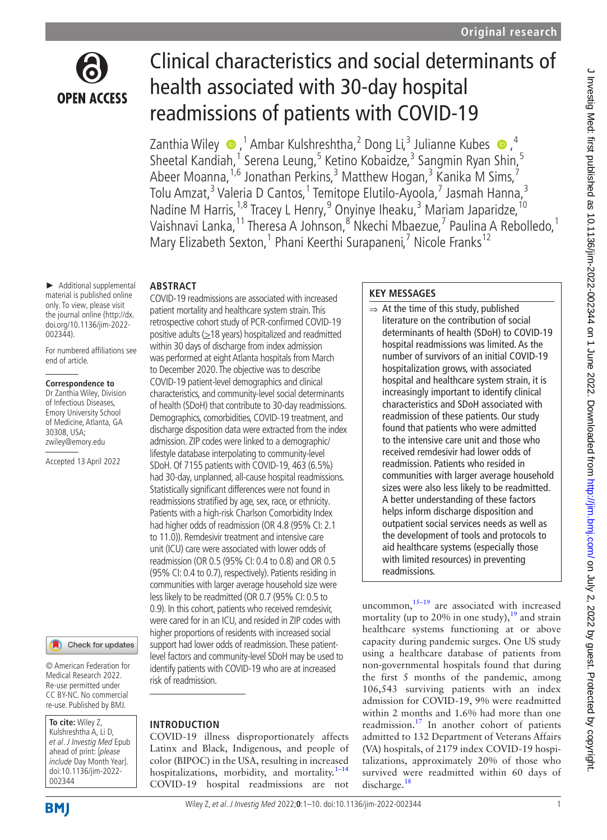

# Clinical characteristics and social determinants of health associated with 30-day hospital readmissions of patients with COVID-19

Zanthia Wiley  $\bigcirc$ ,<sup>1</sup> Ambar Kulshreshtha,<sup>2</sup> Dong Li,<sup>3</sup> Julianne Kubes  $\bigcirc$ ,<sup>4</sup> Sheetal Kandiah,<sup>1</sup> Serena Leung,<sup>5</sup> Ketino Kobaidze,<sup>3</sup> Sangmin Ryan Shin,<sup>5</sup> Abeer Moanna, <sup>1,6</sup> Jonathan Perkins, <sup>3</sup> Matthew Hogan, <sup>3</sup> Kanika M Sims, <sup>7</sup> Tolu Amzat,<sup>3</sup> Valeria D Cantos,<sup>1</sup> Temitope Elutilo-Ayoola,<sup>7</sup> Jasmah Hanna,<sup>3</sup> Nadine M Harris,<sup>1,8</sup> Tracey L Henry, <sup>9</sup> Onyinye Iheaku, <sup>3</sup> Mariam Japaridze, <sup>10</sup> Vaishnavi Lanka, <sup>11</sup> Theresa A Johnson, <sup>8</sup> Nkechi Mbaezue, <sup>7</sup> Paulina A Rebolledo, <sup>1</sup> Mary Elizabeth Sexton,<sup>1</sup> Phani Keerthi Surapaneni,<sup>7</sup> Nicole Franks<sup>12</sup>

#### ► Additional supplemental material is published online only. To view, please visit the journal online [\(http://dx.](http://dx.doi.org/10.1136/jim-2022-002344) [doi.org/10.1136/jim-2022-](http://dx.doi.org/10.1136/jim-2022-002344) [002344](http://dx.doi.org/10.1136/jim-2022-002344)).

**ABSTRACT**

For numbered affiliations see end of article.

#### **Correspondence to**

Dr Zanthia Wiley, Division of Infectious Diseases, Emory University School of Medicine, Atlanta, GA 30308, USA; zwiley@emory.edu

Accepted 13 April 2022

Check for updates

© American Federation for Medical Research 2022. Re-use permitted under CC BY-NC. No commercial re-use. Published by BMJ.

**To cite:** Wiley Z, Kulshreshtha A, Li D, et al. J Investig Med Epub ahead of print: [please include Day Month Year]. doi:10.1136/jim-2022- 002344

## **BMJ**

within 30 days of discharge from index admission was performed at eight Atlanta hospitals from March to December 2020. The objective was to describe COVID-19 patient-level demographics and clinical characteristics, and community-level social determinants of health (SDoH) that contribute to 30-day readmissions. Demographics, comorbidities, COVID-19 treatment, and discharge disposition data were extracted from the index admission. ZIP codes were linked to a demographic/ lifestyle database interpolating to community-level SDoH. Of 7155 patients with COVID-19, 463 (6.5%) had 30-day, unplanned, all-cause hospital readmissions. Statistically significant differences were not found in readmissions stratified by age, sex, race, or ethnicity. Patients with a high-risk Charlson Comorbidity Index had higher odds of readmission (OR 4.8 (95% CI: 2.1 to 11.0)). Remdesivir treatment and intensive care unit (ICU) care were associated with lower odds of readmission (OR 0.5 (95% CI: 0.4 to 0.8) and OR 0.5 (95% CI: 0.4 to 0.7), respectively). Patients residing in communities with larger average household size were less likely to be readmitted (OR 0.7 (95% CI: 0.5 to 0.9). In this cohort, patients who received remdesivir, were cared for in an ICU, and resided in ZIP codes with higher proportions of residents with increased social support had lower odds of readmission. These patientlevel factors and community-level SDoH may be used to identify patients with COVID-19 who are at increased risk of readmission.

COVID-19 readmissions are associated with increased patient mortality and healthcare system strain. This retrospective cohort study of PCR-confirmed COVID-19 positive adults  $(≥18$  years) hospitalized and readmitted

## **INTRODUCTION**

COVID-19 illness disproportionately affects Latinx and Black, Indigenous, and people of color (BIPOC) in the USA, resulting in increased hospitalizations, morbidity, and mortality.<sup>1-14</sup> COVID-19 hospital readmissions are not

## **KEY MESSAGES**

 $\Rightarrow$  At the time of this study, published literature on the contribution of social determinants of health (SDoH) to COVID-19 hospital readmissions was limited. As the number of survivors of an initial COVID-19 hospitalization grows, with associated hospital and healthcare system strain, it is increasingly important to identify clinical characteristics and SDoH associated with readmission of these patients. Our study found that patients who were admitted to the intensive care unit and those who received remdesivir had lower odds of readmission. Patients who resided in communities with larger average household sizes were also less likely to be readmitted. A better understanding of these factors helps inform discharge disposition and outpatient social services needs as well as the development of tools and protocols to aid healthcare systems (especially those with limited resources) in preventing readmissions.

uncommon, $15-19$  are associated with increased mortality (up to 20% in one study),  $19$  and strain healthcare systems functioning at or above capacity during pandemic surges. One US study using a healthcare database of patients from non-governmental hospitals found that during the first 5 months of the pandemic, among 106,543 surviving patients with an index admission for COVID-19, 9% were readmitted within 2 months and 1.6% had more than one readmission.<sup>17</sup> In another cohort of patients admitted to 132 Department of Veterans Affairs (VA) hospitals, of 2179 index COVID-19 hospitalizations, approximately 20% of those who survived were readmitted within 60 days of discharge.<sup>[18](#page-8-4)</sup>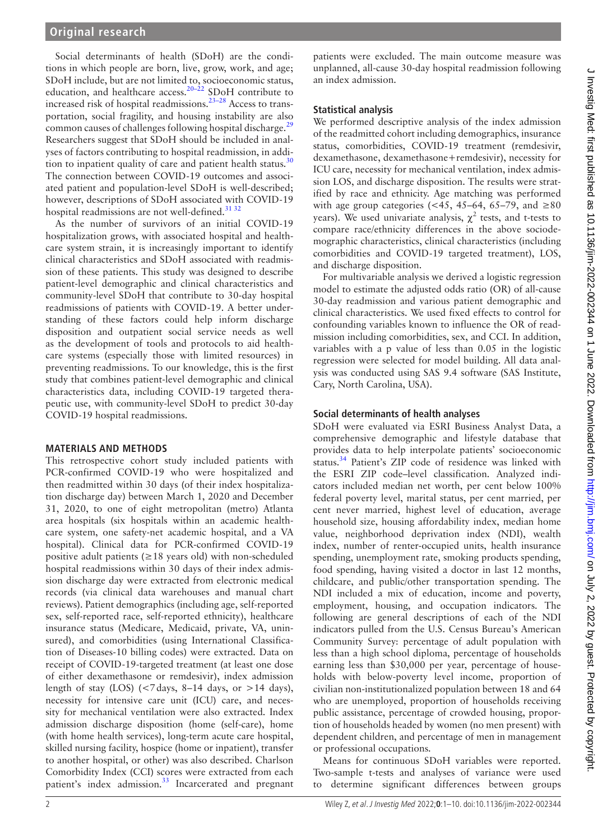Social determinants of health (SDoH) are the conditions in which people are born, live, grow, work, and age; SDoH include, but are not limited to, socioeconomic status, education, and healthcare access.<sup>[20–22](#page-8-5)</sup> SDoH contribute to increased risk of hospital readmissions[.23–28](#page-8-6) Access to transportation, social fragility, and housing instability are also common causes of challenges following hospital discharge.<sup>[29](#page-8-7)</sup> Researchers suggest that SDoH should be included in analyses of factors contributing to hospital readmission, in addition to inpatient quality of care and patient health status. $30$ The connection between COVID-19 outcomes and associated patient and population-level SDoH is well-described; however, descriptions of SDoH associated with COVID-19 hospital readmissions are not well-defined.<sup>3132</sup>

As the number of survivors of an initial COVID-19 hospitalization grows, with associated hospital and healthcare system strain, it is increasingly important to identify clinical characteristics and SDoH associated with readmission of these patients. This study was designed to describe patient-level demographic and clinical characteristics and community-level SDoH that contribute to 30-day hospital readmissions of patients with COVID-19. A better understanding of these factors could help inform discharge disposition and outpatient social service needs as well as the development of tools and protocols to aid healthcare systems (especially those with limited resources) in preventing readmissions. To our knowledge, this is the first study that combines patient-level demographic and clinical characteristics data, including COVID-19 targeted therapeutic use, with community-level SDoH to predict 30-day COVID-19 hospital readmissions.

#### **MATERIALS AND METHODS**

This retrospective cohort study included patients with PCR-confirmed COVID-19 who were hospitalized and then readmitted within 30 days (of their index hospitalization discharge day) between March 1, 2020 and December 31, 2020, to one of eight metropolitan (metro) Atlanta area hospitals (six hospitals within an academic healthcare system, one safety-net academic hospital, and a VA hospital). Clinical data for PCR-confirmed COVID-19 positive adult patients ( $\geq$ 18 years old) with non-scheduled hospital readmissions within 30 days of their index admission discharge day were extracted from electronic medical records (via clinical data warehouses and manual chart reviews). Patient demographics (including age, self-reported sex, self-reported race, self-reported ethnicity), healthcare insurance status (Medicare, Medicaid, private, VA, uninsured), and comorbidities (using International Classification of Diseases-10 billing codes) were extracted. Data on receipt of COVID-19-targeted treatment (at least one dose of either dexamethasone or remdesivir), index admission length of stay (LOS)  $\left($  < 7 days, 8–14 days, or >14 days), necessity for intensive care unit (ICU) care, and necessity for mechanical ventilation were also extracted. Index admission discharge disposition (home (self-care), home (with home health services), long-term acute care hospital, skilled nursing facility, hospice (home or inpatient), transfer to another hospital, or other) was also described. Charlson Comorbidity Index (CCI) scores were extracted from each patient's index admission.<sup>33</sup> Incarcerated and pregnant

patients were excluded. The main outcome measure was unplanned, all-cause 30-day hospital readmission following an index admission.

#### **Statistical analysis**

We performed descriptive analysis of the index admission of the readmitted cohort including demographics, insurance status, comorbidities, COVID-19 treatment (remdesivir, dexamethasone, dexamethasone+remdesivir), necessity for ICU care, necessity for mechanical ventilation, index admission LOS, and discharge disposition. The results were stratified by race and ethnicity. Age matching was performed with age group categories (<45, 45–64, 65–79, and  $\geq 80$ years). We used univariate analysis,  $\chi^2$  tests, and t-tests to compare race/ethnicity differences in the above sociodemographic characteristics, clinical characteristics (including comorbidities and COVID-19 targeted treatment), LOS, and discharge disposition.

For multivariable analysis we derived a logistic regression model to estimate the adjusted odds ratio (OR) of all-cause 30-day readmission and various patient demographic and clinical characteristics. We used fixed effects to control for confounding variables known to influence the OR of readmission including comorbidities, sex, and CCI. In addition, variables with a p value of less than 0.05 in the logistic regression were selected for model building. All data analysis was conducted using SAS 9.4 software (SAS Institute, Cary, North Carolina, USA).

#### **Social determinants of health analyses**

SDoH were evaluated via ESRI Business Analyst Data, a comprehensive demographic and lifestyle database that provides data to help interpolate patients' socioeconomic status.<sup>34</sup> Patient's ZIP code of residence was linked with the ESRI ZIP code–level classification. Analyzed indicators included median net worth, per cent below 100% federal poverty level, marital status, per cent married, per cent never married, highest level of education, average household size, housing affordability index, median home value, neighborhood deprivation index (NDI), wealth index, number of renter-occupied units, health insurance spending, unemployment rate, smoking products spending, food spending, having visited a doctor in last 12 months, childcare, and public/other transportation spending. The NDI included a mix of education, income and poverty, employment, housing, and occupation indicators. The following are general descriptions of each of the NDI indicators pulled from the U.S. Census Bureau's American Community Survey: percentage of adult population with less than a high school diploma, percentage of households earning less than \$30,000 per year, percentage of households with below-poverty level income, proportion of civilian non-institutionalized population between 18 and 64 who are unemployed, proportion of households receiving public assistance, percentage of crowded housing, proportion of households headed by women (no men present) with dependent children, and percentage of men in management or professional occupations.

Means for continuous SDoH variables were reported. Two-sample t-tests and analyses of variance were used to determine significant differences between groups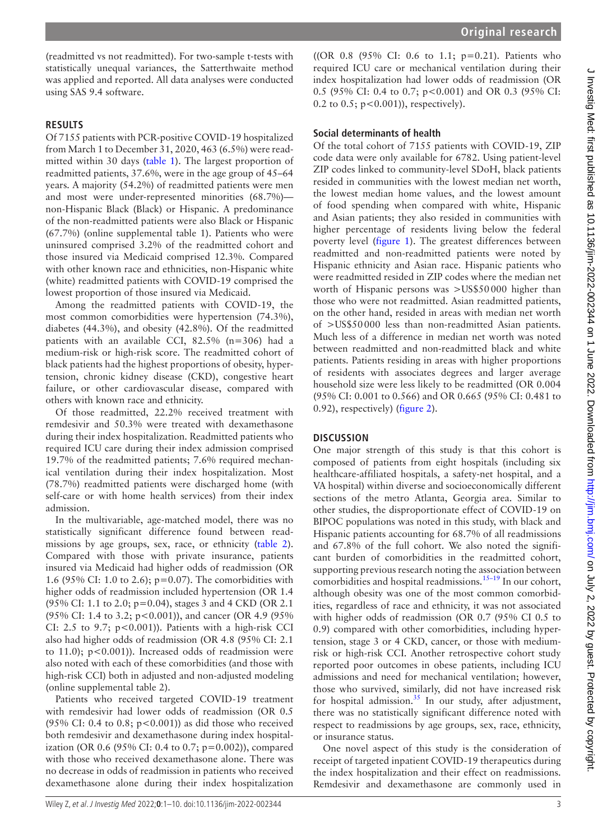(readmitted vs not readmitted). For two-sample t-tests with statistically unequal variances, the Satterthwaite method was applied and reported. All data analyses were conducted using SAS 9.4 software.

#### **RESULTS**

Of 7155 patients with PCR-positive COVID-19 hospitalized from March 1 to December 31, 2020, 463 (6.5%) were readmitted within 30 days [\(table](#page-3-0) 1). The largest proportion of readmitted patients, 37.6%, were in the age group of 45–64 years. A majority (54.2%) of readmitted patients were men and most were under-represented minorities (68.7%) non-Hispanic Black (Black) or Hispanic. A predominance of the non-readmitted patients were also Black or Hispanic (67.7%) ([online supplemental table 1](https://dx.doi.org/10.1136/jim-2022-002344)). Patients who were uninsured comprised 3.2% of the readmitted cohort and those insured via Medicaid comprised 12.3%. Compared with other known race and ethnicities, non-Hispanic white (white) readmitted patients with COVID-19 comprised the lowest proportion of those insured via Medicaid.

Among the readmitted patients with COVID-19, the most common comorbidities were hypertension (74.3%), diabetes (44.3%), and obesity (42.8%). Of the readmitted patients with an available CCI, 82.5% (n=306) had a medium-risk or high-risk score. The readmitted cohort of black patients had the highest proportions of obesity, hypertension, chronic kidney disease (CKD), congestive heart failure, or other cardiovascular disease, compared with others with known race and ethnicity.

Of those readmitted, 22.2% received treatment with remdesivir and 50.3% were treated with dexamethasone during their index hospitalization. Readmitted patients who required ICU care during their index admission comprised 19.7% of the readmitted patients; 7.6% required mechanical ventilation during their index hospitalization. Most (78.7%) readmitted patients were discharged home (with self-care or with home health services) from their index admission.

In the multivariable, age-matched model, there was no statistically significant difference found between readmissions by age groups, sex, race, or ethnicity ([table](#page-5-0) 2). Compared with those with private insurance, patients insured via Medicaid had higher odds of readmission (OR 1.6 (95% CI: 1.0 to 2.6); p=0.07). The comorbidities with higher odds of readmission included hypertension (OR 1.4 (95% CI: 1.1 to 2.0; p=0.04), stages 3 and 4 CKD (OR 2.1 (95% CI: 1.4 to 3.2; p<0.001)), and cancer (OR 4.9 (95% CI: 2.5 to 9.7;  $p < 0.001$ )). Patients with a high-risk CCI also had higher odds of readmission (OR 4.8 (95% CI: 2.1 to 11.0);  $p<0.001$ )). Increased odds of readmission were also noted with each of these comorbidities (and those with high-risk CCI) both in adjusted and non-adjusted modeling ([online supplemental table 2](https://dx.doi.org/10.1136/jim-2022-002344)).

Patients who received targeted COVID-19 treatment with remdesivir had lower odds of readmission (OR 0.5 (95% CI: 0.4 to 0.8;  $p < 0.001$ ) as did those who received both remdesivir and dexamethasone during index hospitalization (OR 0.6 (95% CI: 0.4 to 0.7;  $p=0.002$ )), compared with those who received dexamethasone alone. There was no decrease in odds of readmission in patients who received dexamethasone alone during their index hospitalization

((OR 0.8 (95% CI: 0.6 to 1.1; p=0.21). Patients who required ICU care or mechanical ventilation during their index hospitalization had lower odds of readmission (OR 0.5 (95% CI: 0.4 to 0.7; p<0.001) and OR 0.3 (95% CI: 0.2 to 0.5; p<0.001)), respectively).

## **Social determinants of health**

Of the total cohort of 7155 patients with COVID-19, ZIP code data were only available for 6782. Using patient-level ZIP codes linked to community-level SDoH, black patients resided in communities with the lowest median net worth, the lowest median home values, and the lowest amount of food spending when compared with white, Hispanic and Asian patients; they also resided in communities with higher percentage of residents living below the federal poverty level ([figure](#page-6-0) 1). The greatest differences between readmitted and non-readmitted patients were noted by Hispanic ethnicity and Asian race. Hispanic patients who were readmitted resided in ZIP codes where the median net worth of Hispanic persons was >US\$50000 higher than those who were not readmitted. Asian readmitted patients, on the other hand, resided in areas with median net worth of >US\$50000 less than non-readmitted Asian patients. Much less of a difference in median net worth was noted between readmitted and non-readmitted black and white patients. Patients residing in areas with higher proportions of residents with associates degrees and larger average household size were less likely to be readmitted (OR 0.004 (95% CI: 0.001 to 0.566) and OR 0.665 (95% CI: 0.481 to 0.92), respectively) [\(figure](#page-7-0) 2).

#### **DISCUSSION**

One major strength of this study is that this cohort is composed of patients from eight hospitals (including six healthcare-affiliated hospitals, a safety-net hospital, and a VA hospital) within diverse and socioeconomically different sections of the metro Atlanta, Georgia area. Similar to other studies, the disproportionate effect of COVID-19 on BIPOC populations was noted in this study, with black and Hispanic patients accounting for 68.7% of all readmissions and 67.8% of the full cohort. We also noted the significant burden of comorbidities in the readmitted cohort, supporting previous research noting the association between comorbidities and hospital readmissions.<sup>15-19</sup> In our cohort, although obesity was one of the most common comorbidities, regardless of race and ethnicity, it was not associated with higher odds of readmission (OR 0.7 (95% CI 0.5 to 0.9) compared with other comorbidities, including hypertension, stage 3 or 4 CKD, cancer, or those with mediumrisk or high-risk CCI. Another retrospective cohort study reported poor outcomes in obese patients, including ICU admissions and need for mechanical ventilation; however, those who survived, similarly, did not have increased risk for hospital admission.<sup>[35](#page-8-12)</sup> In our study, after adjustment, there was no statistically significant difference noted with respect to readmissions by age groups, sex, race, ethnicity, or insurance status.

One novel aspect of this study is the consideration of receipt of targeted inpatient COVID-19 therapeutics during the index hospitalization and their effect on readmissions. Remdesivir and dexamethasone are commonly used in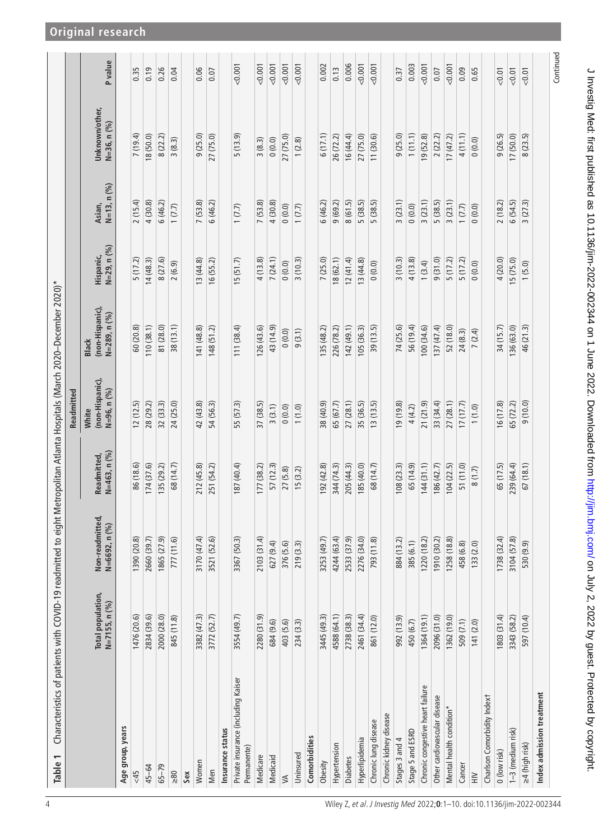<span id="page-3-0"></span>

| Characteristics of patients with COVID-19 readmitted to eight Metropolitan Atlanta Hospitals (March 2020—December 2020)*<br>Table 1 |                                    |                                                              |                             |                                         |                                                 |                          |                          |                               |                |
|-------------------------------------------------------------------------------------------------------------------------------------|------------------------------------|--------------------------------------------------------------|-----------------------------|-----------------------------------------|-------------------------------------------------|--------------------------|--------------------------|-------------------------------|----------------|
|                                                                                                                                     |                                    |                                                              |                             | Readmitted                              |                                                 |                          |                          |                               |                |
|                                                                                                                                     | Total population,<br>N=7155, n (%) | Non-readmitted,<br>$\mathcal{O}(\mathcal{O})$<br>N=6692, n ( | N=463, n (%)<br>Readmitted, | (non-Hispanic),<br>N=96, n (%)<br>White | (non-Hispanic),<br>N=289, n (%)<br><b>Black</b> | N=29, n (%)<br>Hispanic, | $N=13, n (96)$<br>Asian, | Unknown/other,<br>N=36, n (%) | <b>P</b> value |
| Age group, years                                                                                                                    |                                    |                                                              |                             |                                         |                                                 |                          |                          |                               |                |
| 58                                                                                                                                  | 1476 (20.6)                        | 1390 (20.8)                                                  | 86 (18.6)                   | 12(12.5)                                | 60 (20.8)                                       | 5(17.2)                  | 2(15.4)                  | 7(19.4)                       | 0.35           |
| 45-64                                                                                                                               | 2834 (39.6)                        | 2660 (39.7)                                                  | 174 (37.6)                  | 28 (29.2)                               | 110(38.1)                                       | 14(48.3)                 | 4 (30.8)                 | 18 (50.0)                     | 0.19           |
| $65 - 79$                                                                                                                           | 2000 (28.0)                        | 1865 (27.9)                                                  | 135 (29.2)                  | 32 (33.3)                               | 81 (28.0)                                       | 8 (27.6)                 | 6(46.2)                  | 8(22.2)                       | 0.26           |
| $\geq 80$                                                                                                                           | 845 (11.8)                         | 777 (11.6)                                                   | 68 (14.7)                   | 24 (25.0)                               | 38(13.1)                                        | 2(6.9)                   | 1(7.7)                   | 3(8.3)                        | 0.04           |
| Sex                                                                                                                                 |                                    |                                                              |                             |                                         |                                                 |                          |                          |                               |                |
| Women                                                                                                                               | 3382 (47.3)                        | 3170 (47.4)                                                  | 212 (45.8)                  | 42 (43.8)                               | 141 (48.8)                                      | 13 (44.8)                | 7(53.8)                  | 9(25.0)                       | 0.06           |
| Men                                                                                                                                 | 3772 (52.7)                        | 3521 (52.6)                                                  | 251 (54.2)                  | 54 (56.3)                               | 148 (51.2)                                      | 16 (55.2)                | 6(46.2)                  | 27 (75.0)                     | 0.07           |
| Insurance status                                                                                                                    |                                    |                                                              |                             |                                         |                                                 |                          |                          |                               |                |
| Private insurance (including Kaiser<br>Permanente)                                                                                  | 3554 (49.7)                        | 3367 (50.3)                                                  | 187 (40.4)                  | 55 (57.3)                               | 111(38.4)                                       | 15(51.7)                 | (7.7)                    | 5(13.9)                       | 0.001          |
| Medicare                                                                                                                            | 2280 (31.9)                        | 2103 (31.4)                                                  | 177 (38.2)                  | 37 (38.5)                               | 126(43.6)                                       | 4(13.8)                  | 7(53.8)                  | 3(8.3)                        | 0.001          |
| Medicaid                                                                                                                            | 684 (9.6)                          | 627(9.4)                                                     | 57 (12.3)                   | 3(3.1)                                  | 43 (14.9)                                       | 7(24.1)                  | 4(30.8)                  | 0(0.0)                        | 0.001          |
| $\lessgtr$                                                                                                                          | 403 (5.6)                          | 376 (5.6)                                                    | 27(5.8)                     | 0(0.0)                                  | (0.0)                                           | (0.0)0                   | (0.0)0                   | 27 (75.0)                     | 0.001          |
| Uninsured                                                                                                                           | 234 (3.3)                          | 219 (3.3)                                                    | 15(3.2)                     | 1(1.0)                                  | 9(3.1)                                          | 3(10.3)                  | 1(7.7)                   | 1(2.8)                        | 0.001          |
| Comorbidities                                                                                                                       |                                    |                                                              |                             |                                         |                                                 |                          |                          |                               |                |
| Obesity                                                                                                                             | 3445 (49.3)                        | 3253 (49.7)                                                  | 92(42.8)                    | 38 (40.9)                               | 135 (48.2)                                      | (25.0)<br>$\overline{ }$ | 6(46.2)                  | 6(17.1)                       | 0.002          |
| Hypertension                                                                                                                        | 4588 (64.1)                        | 4244 (63.4)                                                  | 344 (74.3)                  | 65 (67.7)                               | 226 (78.2)                                      | 18(62.1)                 | 9(69.2)                  | 26 (72.2)                     | 0.13           |
| <b>Diabetes</b>                                                                                                                     | 2738 (38.3)                        | 2533 (37.9)                                                  | 205 (44.3)                  | 27(28.1)                                | 142(49.1)                                       | 12(41.4)                 | 8(61.5)                  | 16 (44.4)                     | 0.006          |
| Hyperlipidemia                                                                                                                      | 2461 (34.4)                        | 2276 (34.0)                                                  | 185 (40.0)                  | 35 (36.5)                               | 105(36.3)                                       | 13 (44.8)                | 5(38.5)                  | 27 (75.0)                     | 0.001          |
| Chronic lung disease                                                                                                                | 861 (12.0)                         | 793 (11.8)                                                   | 68 (14.7)                   | 13(13.5)                                | 39 (13.5)                                       | 0(0.0)                   | 5(38.5)                  | 11 (30.6)                     | 0.001          |
| Chronic kidney disease                                                                                                              |                                    |                                                              |                             |                                         |                                                 |                          |                          |                               |                |
| Stages 3 and 4                                                                                                                      | 992 (13.9)                         | 884 (13.2)                                                   | 108(23.3)                   | 19 (19.8)                               | 74 (25.6)                                       | (10.3)<br>3              | 3(23.1)                  | 9(25.0)                       | 0.37           |
| Stage 5 and ESRD                                                                                                                    | 450 (6.7)                          | 385 (6.1)                                                    | 65 (14.9)                   | 4(4.2)                                  | 56 (19.4)                                       | 4(13.8)                  | 0(0.0)                   | 1(11.1)                       | 0.003          |
| Chronic congestive heart failure                                                                                                    | 1364 (19.1)                        | 1220 (18.2)                                                  | 144(31.1)                   | 21 (21.9)                               | 00(34.6)                                        | (3.4)                    | 3(23.1)                  | 19 (52.8)                     | 0.001          |
| Other cardiovascular disease                                                                                                        | 2096 (31.0)                        | 1910 (30.2)                                                  | 186(42.7)                   | 33 (34.4)                               | 137 (47.4)                                      | 9(31.0)                  | 5(38.5)                  | 2(22.2)                       | 0.07           |
| Mental health condition*                                                                                                            | 1362 (19.0)                        | 1258(18.8)                                                   | 104(22.5)                   | 27(28.1)                                | 52 (18.0)                                       | 5(17.2)                  | 3(23.1)                  | 17(47.2)                      | 0.001          |
| Cancer                                                                                                                              | 509 (7.1)                          | 458 (6.8)                                                    | 51 (11.0)                   | 17(17.7)                                | 24(8.3)                                         | 5(17.2)                  | 1(7.7)                   | 4(11.1)                       | 0.09           |
| $\geq$                                                                                                                              | 141 (2.0)                          | 133(2.0)                                                     | 8(1.7)                      | (1.0)                                   | 7(2.4)                                          | 0(0.0)                   | 0(0.0)                   | 0(0.0)                        | 0.65           |
| Charlson Comorbidity Indext                                                                                                         |                                    |                                                              |                             |                                         |                                                 |                          |                          |                               |                |
| 0 (low risk)                                                                                                                        | 1803 (31.4)                        | 1738 (32.4)                                                  | 65 (17.5)                   | 16 (17.8)                               | 34 (15.7)                                       | 4 (20.0)                 | 2(18.2)                  | 9(26.5)                       | < 0.01         |
| 1-3 (medium risk)                                                                                                                   | 3343 (58.2)                        | 3104 (57.8)                                                  | 239 (64.4)                  | 65 (72.2)                               | 136(63.0)                                       | 15 (75.0)                | 6(54.5)                  | 17(50.0)                      | 0.01           |
| ≥4 (high risk)                                                                                                                      | 597 (10.4)                         | 530 (9.9)                                                    | 67(18.1)                    | 9(10.0)                                 | 46 (21.3)                                       | 1(5.0)                   | 3(27.3)                  | 8(23.5)                       | $<0.01$        |
| Index admission treatment                                                                                                           |                                    |                                                              |                             |                                         |                                                 |                          |                          |                               |                |
|                                                                                                                                     |                                    |                                                              |                             |                                         |                                                 |                          |                          |                               | Continued      |

J Investig Med: first published as 10.1136/jim-2022-002344 on 1 June 2022. Downloaded from http://jim.bmj.com/ on July 2, 2022 by guest. Protected by copyright. J Investig Med: first published as 10.1136/jim-2022-00234 on 1 June 2022. Downloaded from <http://jim.bmj.com/> on July 2, 2022 by guest. Protected by copyright.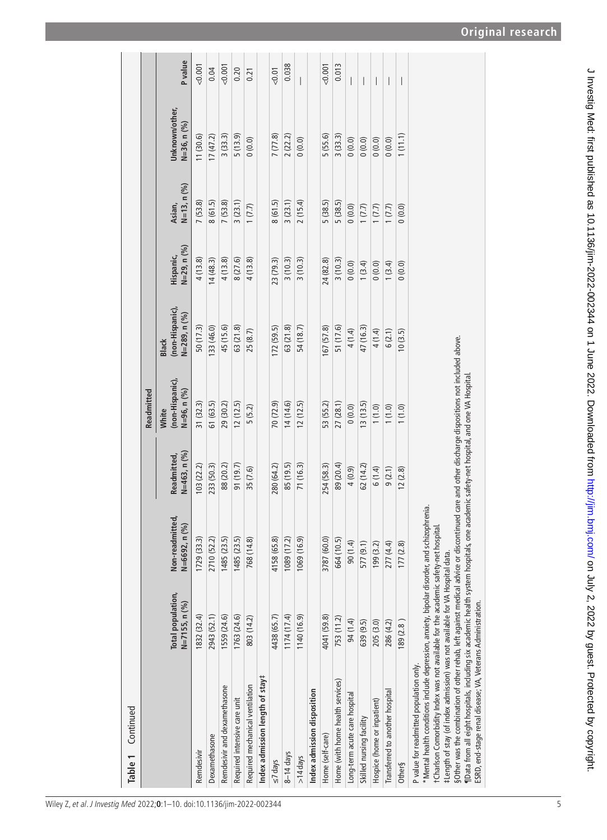| Continued<br>Table 1                                                                                                                                                                                                                                                                                                                                                                                                                                                                                                                                                                                       |                                        |                                  |                               |                                         |                                                       |                          |                         |                               |                          |
|------------------------------------------------------------------------------------------------------------------------------------------------------------------------------------------------------------------------------------------------------------------------------------------------------------------------------------------------------------------------------------------------------------------------------------------------------------------------------------------------------------------------------------------------------------------------------------------------------------|----------------------------------------|----------------------------------|-------------------------------|-----------------------------------------|-------------------------------------------------------|--------------------------|-------------------------|-------------------------------|--------------------------|
|                                                                                                                                                                                                                                                                                                                                                                                                                                                                                                                                                                                                            |                                        |                                  |                               | Readmitted                              |                                                       |                          |                         |                               |                          |
|                                                                                                                                                                                                                                                                                                                                                                                                                                                                                                                                                                                                            | Total population,<br>$N = 7155, n (%)$ | Non-readmitted,<br>N=6692, n (%) | $N=463, n (%)$<br>Readmitted, | (non-Hispanic),<br>N=96, n (%)<br>White | (non-Hispanic),<br>$N=289$ , n $(%$ )<br><b>Black</b> | N=29, n (%)<br>Hispanic, | $N=13, n (%)$<br>Asian, | Unknown/other,<br>N=36, n (%) | <b>P</b> value           |
| Remdesivir                                                                                                                                                                                                                                                                                                                                                                                                                                                                                                                                                                                                 | 1832 (32.4)                            | 1729 (33.3)                      | 103(22.2)                     | 31 (32.3)                               | 50(17.3)                                              | 4(13.8)                  | 7(53.8)                 | 11(30.6)                      | < 0.001                  |
| Dexamethasone                                                                                                                                                                                                                                                                                                                                                                                                                                                                                                                                                                                              | 2943 (52.1)                            | 2710 (52.2)                      | 233 (50.3)                    | 61 (63.5)                               | 133 (46.0)                                            | 14(48.3)                 | 8(61.5)                 | 17(47.2)                      | 0.04                     |
| Remdesivir and dexamethasone                                                                                                                                                                                                                                                                                                                                                                                                                                                                                                                                                                               | 1559 (24.6)                            | 1485 (23.5)                      | 88 (20.2)                     | 29 (30.2)                               | 45 (15.6)                                             | 4(13.8)                  | 7(53.8)                 | 3(33.3)                       | 0.001                    |
| Required intensive care unit                                                                                                                                                                                                                                                                                                                                                                                                                                                                                                                                                                               | 1763 (24.6)                            | 1485 (23.5)                      | 91 (19.7)                     | 12(12.5)                                | 63 (21.8)                                             | 8 (27.6)                 | 3(23.1)                 | 5(13.9)                       | 0.20                     |
| Required mechanical ventilation                                                                                                                                                                                                                                                                                                                                                                                                                                                                                                                                                                            | 803 (14.2)                             | 768 (14.8)                       | 35 (7.6)                      | 5(5.2)                                  | 25 (8.7)                                              | 4(13.8)                  | 1(7.7)                  | 0(0.0)                        | 0.21                     |
| Index admission length of stay#                                                                                                                                                                                                                                                                                                                                                                                                                                                                                                                                                                            |                                        |                                  |                               |                                         |                                                       |                          |                         |                               |                          |
| $\leq$ 7 days                                                                                                                                                                                                                                                                                                                                                                                                                                                                                                                                                                                              | 4438 (65.7)                            | 4158 (65.8)                      | 280 (64.2)                    | 70 (72.9)                               | 172(59.5)                                             | 23 (79.3)                | 8(61.5)                 | 7(77.8)                       | 50.01                    |
| $8 - 14$ days                                                                                                                                                                                                                                                                                                                                                                                                                                                                                                                                                                                              | 1174(17.4)                             | 1089 (17.2)                      | 85 (19.5)                     | 14(14.6)                                | 63 (21.8)                                             | 3(10.3)                  | 3(23.1)                 | 2(22.2)                       | 0.038                    |
| $>14$ days                                                                                                                                                                                                                                                                                                                                                                                                                                                                                                                                                                                                 | 1140 (16.9)                            | 1069 (16.9)                      | 71 (16.3)                     | 12(12.5)                                | 54 (18.7)                                             | 3(10.3)                  | 2(15.4)                 | 0(0.0)                        |                          |
| Index admission disposition                                                                                                                                                                                                                                                                                                                                                                                                                                                                                                                                                                                |                                        |                                  |                               |                                         |                                                       |                          |                         |                               |                          |
| Home (self-care)                                                                                                                                                                                                                                                                                                                                                                                                                                                                                                                                                                                           | 4041 (59.8)                            | 3787 (60.0)                      | 254 (58.3)                    | 53 (55.2)                               | 167 (57.8)                                            | 24 (82.8)                | 5(38.5)                 | 5(55.6)                       | 0.001                    |
| Home (with home health services)                                                                                                                                                                                                                                                                                                                                                                                                                                                                                                                                                                           | 753 (11.2)                             | 664 (10.5)                       | 89 (20.4)                     | 27 (28.1)                               | 51 (17.6)                                             | 3(10.3)                  | 5(38.5)                 | 3(33.3)                       | 0.013                    |
| Long-term acute care hospital                                                                                                                                                                                                                                                                                                                                                                                                                                                                                                                                                                              | 94 (1.4)                               | (1.4)                            | 4(0.9)                        | 0(0.0)                                  | 4 (1.4)                                               | 0(0.0)                   | 0(0.0)                  | 0(0.0)                        | I                        |
| Skilled nursing facility                                                                                                                                                                                                                                                                                                                                                                                                                                                                                                                                                                                   | 639 (9.5)                              | 577 (9.1)                        | 62(14.2)                      | 13(13.5)                                | 47 (16.3)                                             | 1(3.4)                   | 1(7.7)                  | 0(0.0)                        | I                        |
| Hospice (home or inpatient)                                                                                                                                                                                                                                                                                                                                                                                                                                                                                                                                                                                | 205 (3.0)                              | 199(3.2)                         | 6(1.4)                        | (1.0)                                   | 4 (1.4)                                               | 0(0.0)                   | 1(7.7)                  | (0.0)0                        | $\overline{\phantom{a}}$ |
| Transferred to another hospital                                                                                                                                                                                                                                                                                                                                                                                                                                                                                                                                                                            | 286 (4.2)                              | 277 (4.4)                        | 9(2.1)                        | (1.0)                                   | 6(2.1)                                                | 1(3.4)                   | 1(7.7)                  | 0(0.0)                        | I                        |
| Other§                                                                                                                                                                                                                                                                                                                                                                                                                                                                                                                                                                                                     | 189(2.8)                               | 177(2.8)                         | 12(2.8)                       | 1(1.0)                                  | 10(3.5)                                               | 0(0.0)                   | 0(0.0)                  | 1(11.1)                       | $\overline{\phantom{a}}$ |
| SOther was the combination of other rehab, left against medical advice or discontinued care and other discharge dispositions not included above.<br>¶Data from all eight hospitals, including six academic health system hospitals, one academic safety-net hospital, and one VA Hospital<br>*Mental health conditions include depression, anxiety, bipolar disorder, and schizophrenia.<br>tCharlson Comorbidity Index was not available for the academic safety-net hospital.<br>#Length of stay (of index admission) was not available for VA Hospital data.<br>P value for readmitted population only. |                                        |                                  |                               |                                         |                                                       |                          |                         |                               |                          |
| ESRD, end-stage renal disease; VA, Veterans Administration.                                                                                                                                                                                                                                                                                                                                                                                                                                                                                                                                                |                                        |                                  |                               |                                         |                                                       |                          |                         |                               |                          |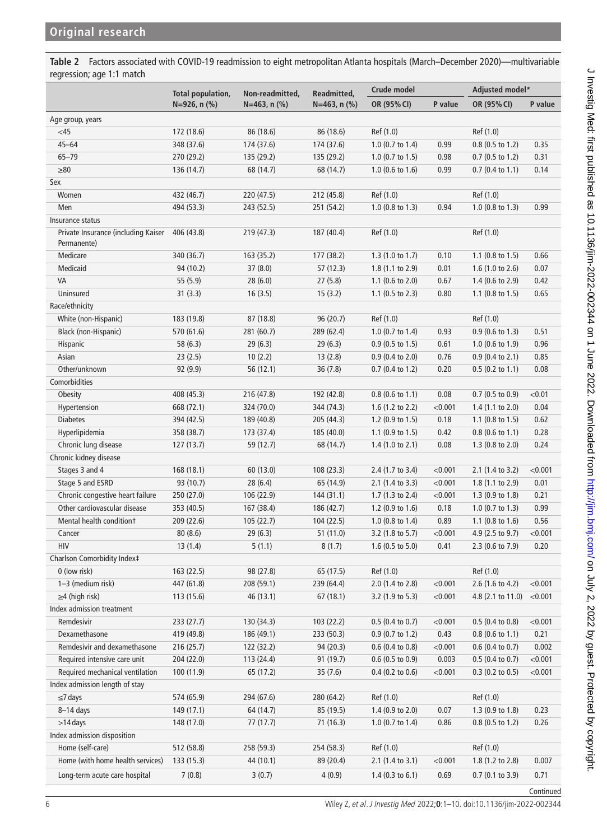<span id="page-5-0"></span>**Table 2** Factors associated with COVID-19 readmission to eight metropolitan Atlanta hospitals (March–December 2020)—multivariable regression; age 1:1 match

|                                                    | <b>Total population,</b> | Non-readmitted,     | Readmitted,         | Crude model                 |         | Adjusted model*             |           |
|----------------------------------------------------|--------------------------|---------------------|---------------------|-----------------------------|---------|-----------------------------|-----------|
|                                                    | $N=926$ , n $(\% )$      | $N=463$ , n $(\% )$ | $N=463$ , n $(\% )$ | OR (95% CI)                 | P value | OR (95% CI)                 | P value   |
| Age group, years                                   |                          |                     |                     |                             |         |                             |           |
| <45                                                | 172 (18.6)               | 86 (18.6)           | 86 (18.6)           | Ref (1.0)                   |         | Ref (1.0)                   |           |
| $45 - 64$                                          | 348 (37.6)               | 174 (37.6)          | 174 (37.6)          | 1.0 (0.7 to 1.4)            | 0.99    | 0.8 (0.5 to 1.2)            | 0.35      |
| $65 - 79$                                          | 270 (29.2)               | 135 (29.2)          | 135 (29.2)          | $1.0$ (0.7 to 1.5)          | 0.98    | $0.7$ (0.5 to 1.2)          | 0.31      |
| $\geq 80$                                          | 136 (14.7)               | 68 (14.7)           | 68 (14.7)           | $1.0$ (0.6 to 1.6)          | 0.99    | $0.7$ (0.4 to 1.1)          | 0.14      |
| Sex                                                |                          |                     |                     |                             |         |                             |           |
| Women                                              | 432 (46.7)               | 220 (47.5)          | 212 (45.8)          | Ref (1.0)                   |         | Ref (1.0)                   |           |
| Men                                                | 494 (53.3)               | 243 (52.5)          | 251 (54.2)          | $1.0$ (0.8 to 1.3)          | 0.94    | $1.0$ (0.8 to 1.3)          | 0.99      |
| Insurance status                                   |                          |                     |                     |                             |         |                             |           |
| Private Insurance (including Kaiser<br>Permanente) | 406 (43.8)               | 219 (47.3)          | 187 (40.4)          | Ref (1.0)                   |         | Ref (1.0)                   |           |
| Medicare                                           | 340 (36.7)               | 163 (35.2)          | 177 (38.2)          | 1.3 (1.0 to 1.7)            | 0.10    | 1.1 $(0.8 \text{ to } 1.5)$ | 0.66      |
| Medicaid                                           | 94 (10.2)                | 37(8.0)             | 57 (12.3)           | $1.8(1.1 \text{ to } 2.9)$  | 0.01    | 1.6 (1.0 to 2.6)            | 0.07      |
| VA                                                 | 55(5.9)                  | 28(6.0)             | 27(5.8)             | 1.1 (0.6 to 2.0)            | 0.67    | 1.4 (0.6 to 2.9)            | 0.42      |
| Uninsured                                          | 31(3.3)                  | 16(3.5)             | 15(3.2)             | 1.1 $(0.5 \text{ to } 2.3)$ | 0.80    | 1.1 $(0.8 \text{ to } 1.5)$ | 0.65      |
| Race/ethnicity                                     |                          |                     |                     |                             |         |                             |           |
| White (non-Hispanic)                               | 183 (19.8)               | 87 (18.8)           | 96 (20.7)           | Ref (1.0)                   |         | Ref (1.0)                   |           |
| Black (non-Hispanic)                               | 570 (61.6)               | 281 (60.7)          | 289 (62.4)          | 1.0 $(0.7 \text{ to } 1.4)$ | 0.93    | $0.9$ (0.6 to 1.3)          | 0.51      |
| Hispanic                                           | 58 (6.3)                 | 29(6.3)             | 29(6.3)             | $0.9$ (0.5 to 1.5)          | 0.61    | 1.0 (0.6 to 1.9)            | 0.96      |
| Asian                                              | 23(2.5)                  | 10(2.2)             | 13(2.8)             | $0.9$ (0.4 to 2.0)          | 0.76    | $0.9(0.4 \text{ to } 2.1)$  | 0.85      |
| Other/unknown                                      | 92 (9.9)                 | 56 (12.1)           | 36(7.8)             | $0.7$ (0.4 to 1.2)          | 0.20    | $0.5$ (0.2 to 1.1)          | 0.08      |
| Comorbidities                                      |                          |                     |                     |                             |         |                             |           |
| Obesity                                            | 408 (45.3)               | 216 (47.8)          | 192 (42.8)          | $0.8$ (0.6 to 1.1)          | 0.08    | $0.7$ (0.5 to 0.9)          | < 0.01    |
| Hypertension                                       | 668 (72.1)               | 324 (70.0)          | 344 (74.3)          | 1.6 $(1.2 \text{ to } 2.2)$ | < 0.001 | $1.4$ (1.1 to 2.0)          | 0.04      |
| <b>Diabetes</b>                                    | 394 (42.5)               | 189 (40.8)          | 205 (44.3)          | 1.2 $(0.9 \text{ to } 1.5)$ | 0.18    | 1.1 $(0.8 \text{ to } 1.5)$ | 0.62      |
| Hyperlipidemia                                     | 358 (38.7)               | 173 (37.4)          | 185 (40.0)          | 1.1 $(0.9 \text{ to } 1.5)$ | 0.42    | $0.8$ (0.6 to 1.1)          | 0.28      |
| Chronic lung disease                               | 127(13.7)                | 59 (12.7)           | 68 (14.7)           | 1.4 $(1.0 to 2.1)$          | 0.08    | 1.3 $(0.8 \text{ to } 2.0)$ | 0.24      |
| Chronic kidney disease                             |                          |                     |                     |                             |         |                             |           |
| Stages 3 and 4                                     | 168(18.1)                | 60 (13.0)           | 108 (23.3)          | 2.4 (1.7 to 3.4)            | < 0.001 | 2.1 (1.4 to 3.2)            | < 0.001   |
| Stage 5 and ESRD                                   | 93 (10.7)                | 28(6.4)             | 65 (14.9)           | $2.1$ (1.4 to 3.3)          | < 0.001 | $1.8(1.1 \text{ to } 2.9)$  | 0.01      |
| Chronic congestive heart failure                   | 250 (27.0)               | 106 (22.9)          | 144(31.1)           | 1.7 (1.3 to 2.4)            | < 0.001 | 1.3 (0.9 to 1.8)            | 0.21      |
| Other cardiovascular disease                       | 353 (40.5)               | 167 (38.4)          | 186 (42.7)          | 1.2 (0.9 to 1.6)            | 0.18    | $1.0$ (0.7 to 1.3)          | 0.99      |
| Mental health conditiont                           |                          |                     |                     |                             | 0.89    |                             |           |
|                                                    | 209 (22.6)               | 105(22.7)           | 104(22.5)           | $1.0$ (0.8 to 1.4)          |         | 1.1 $(0.8 \text{ to } 1.6)$ | 0.56      |
| Cancer                                             | 80(8.6)                  | 29(6.3)             | 51(11.0)            | 3.2 (1.8 to 5.7)            | < 0.001 | 4.9 (2.5 to 9.7)            | < 0.001   |
| <b>HIV</b>                                         | 13(1.4)                  | 5(1.1)              | 8(1.7)              | 1.6 (0.5 to 5.0)            | 0.41    | 2.3 (0.6 to 7.9)            | 0.20      |
| Charlson Comorbidity Index‡                        |                          |                     |                     |                             |         |                             |           |
| 0 (low risk)                                       | 163 (22.5)               | 98 (27.8)           | 65 (17.5)           | Ref (1.0)                   |         | Ref (1.0)                   |           |
| 1-3 (medium risk)                                  | 447 (61.8)               | 208 (59.1)          | 239 (64.4)          | 2.0 (1.4 to 2.8)            | < 0.001 | 2.6 (1.6 to 4.2)            | < 0.001   |
| $\geq$ 4 (high risk)                               | 113 (15.6)               | 46 (13.1)           | 67(18.1)            | 3.2 (1.9 to 5.3)            | < 0.001 | 4.8 (2.1 to 11.0)           | < 0.001   |
| Index admission treatment                          |                          |                     |                     |                             |         |                             |           |
| Remdesivir                                         | 233 (27.7)               | 130 (34.3)          | 103(22.2)           | $0.5$ (0.4 to 0.7)          | < 0.001 | $0.5$ (0.4 to 0.8)          | < 0.001   |
| Dexamethasone                                      | 419 (49.8)               | 186 (49.1)          | 233 (50.3)          | $0.9$ (0.7 to 1.2)          | 0.43    | $0.8$ (0.6 to 1.1)          | 0.21      |
| Remdesivir and dexamethasone                       | 216 (25.7)               | 122 (32.2)          | 94 (20.3)           | $0.6$ (0.4 to 0.8)          | < 0.001 | $0.6$ (0.4 to 0.7)          | 0.002     |
| Required intensive care unit                       | 204 (22.0)               | 113 (24.4)          | 91 (19.7)           | $0.6$ (0.5 to 0.9)          | 0.003   | $0.5$ (0.4 to 0.7)          | < 0.001   |
| Required mechanical ventilation                    | 100 (11.9)               | 65 (17.2)           | 35 (7.6)            | $0.4$ (0.2 to 0.6)          | < 0.001 | $0.3$ (0.2 to 0.5)          | < 0.001   |
| Index admission length of stay                     |                          |                     |                     |                             |         |                             |           |
| $\leq$ 7 days                                      | 574 (65.9)               | 294 (67.6)          | 280 (64.2)          | Ref (1.0)                   |         | Ref (1.0)                   |           |
| $8-14$ days                                        | 149 (17.1)               | 64 (14.7)           | 85 (19.5)           | 1.4 (0.9 to 2.0)            | 0.07    | 1.3 (0.9 to 1.8)            | 0.23      |
| $>14$ days                                         | 148 (17.0)               | 77(17.7)            | 71 (16.3)           | $1.0$ (0.7 to 1.4)          | 0.86    | $0.8$ (0.5 to 1.2)          | 0.26      |
| Index admission disposition                        |                          |                     |                     |                             |         |                             |           |
| Home (self-care)                                   | 512 (58.8)               | 258 (59.3)          | 254 (58.3)          | Ref (1.0)                   |         | Ref (1.0)                   |           |
| Home (with home health services)                   | 133 (15.3)               | 44 (10.1)           | 89 (20.4)           | 2.1 (1.4 to 3.1)            | < 0.001 | 1.8 (1.2 to 2.8)            | 0.007     |
| Long-term acute care hospital                      | 7(0.8)                   | 3(0.7)              | 4(0.9)              | 1.4 $(0.3 \text{ to } 6.1)$ | 0.69    | $0.7$ (0.1 to 3.9)          | 0.71      |
|                                                    |                          |                     |                     |                             |         |                             | Continued |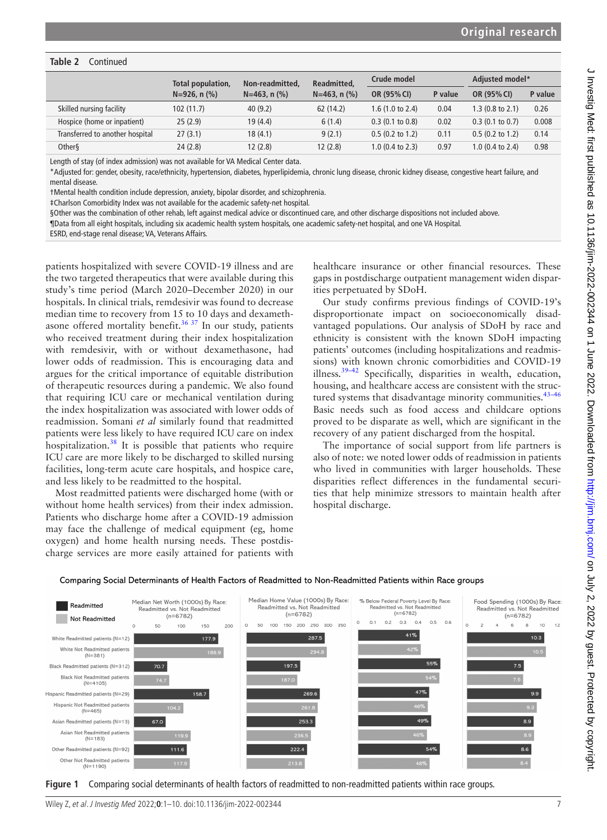#### **Table 2** Continued

|                                 | Total population,   | Non-readmitted.<br>$N=463$ , n $(\% )$ | Readmitted.<br>$N=463$ , n $(\% )$ | Crude model                 |         | Adjusted model*            |         |
|---------------------------------|---------------------|----------------------------------------|------------------------------------|-----------------------------|---------|----------------------------|---------|
|                                 | $N=926$ , n $(\% )$ |                                        |                                    | OR (95% CI)                 | P value | OR (95% CI)                | P value |
| Skilled nursing facility        | 102(11.7)           | 40(9.2)                                | 62(14.2)                           | 1.6 $(1.0 \text{ to } 2.4)$ | 0.04    | $1.3(0.8 \text{ to } 2.1)$ | 0.26    |
| Hospice (home or inpatient)     | 25(2.9)             | 19 (4.4)                               | 6(1.4)                             | $0.3$ (0.1 to 0.8)          | 0.02    | $0.3$ (0.1 to 0.7)         | 0.008   |
| Transferred to another hospital | 27(3.1)             | 18(4.1)                                | 9(2.1)                             | $0.5$ (0.2 to 1.2)          | 0.11    | $0.5$ (0.2 to 1.2)         | 0.14    |
| <b>Other</b>                    | 24(2.8)             | 12(2.8)                                | 12(2.8)                            | $1.0$ (0.4 to 2.3)          | 0.97    | $1.0$ (0.4 to 2.4)         | 0.98    |

Length of stay (of index admission) was not available for VA Medical Center data.

\*Adjusted for: gender, obesity, race/ethnicity, hypertension, diabetes, hyperlipidemia, chronic lung disease, chronic kidney disease, congestive heart failure, and mental disease.

†Mental health condition include depression, anxiety, bipolar disorder, and schizophrenia.

‡Charlson Comorbidity Index was not available for the academic safety-net hospital.

§Other was the combination of other rehab, left against medical advice or discontinued care, and other discharge dispositions not included above.

¶Data from all eight hospitals, including six academic health system hospitals, one academic safety-net hospital, and one VA Hospital.

ESRD, end-stage renal disease; VA, Veterans Affairs.

patients hospitalized with severe COVID-19 illness and are the two targeted therapeutics that were available during this study's time period (March 2020–December 2020) in our hospitals. In clinical trials, remdesivir was found to decrease median time to recovery from 15 to 10 days and dexameth-asone offered mortality benefit.<sup>[36 37](#page-9-0)</sup> In our study, patients who received treatment during their index hospitalization with remdesivir, with or without dexamethasone, had lower odds of readmission. This is encouraging data and argues for the critical importance of equitable distribution of therapeutic resources during a pandemic. We also found that requiring ICU care or mechanical ventilation during the index hospitalization was associated with lower odds of readmission. Somani *et al* similarly found that readmitted patients were less likely to have required ICU care on index hospitalization.<sup>38</sup> It is possible that patients who require ICU care are more likely to be discharged to skilled nursing facilities, long-term acute care hospitals, and hospice care, and less likely to be readmitted to the hospital.

Most readmitted patients were discharged home (with or without home health services) from their index admission. Patients who discharge home after a COVID-19 admission may face the challenge of medical equipment (eg, home oxygen) and home health nursing needs. These postdischarge services are more easily attained for patients with

healthcare insurance or other financial resources. These gaps in postdischarge outpatient management widen disparities perpetuated by SDoH.

Our study confirms previous findings of COVID-19's disproportionate impact on socioeconomically disadvantaged populations. Our analysis of SDoH by race and ethnicity is consistent with the known SDoH impacting patients' outcomes (including hospitalizations and readmissions) with known chronic comorbidities and COVID-19 illness.<sup>39-42</sup> Specifically, disparities in wealth, education, housing, and healthcare access are consistent with the structured systems that disadvantage minority communities.<sup>43-46</sup> Basic needs such as food access and childcare options proved to be disparate as well, which are significant in the recovery of any patient discharged from the hospital.

The importance of social support from life partners is also of note: we noted lower odds of readmission in patients who lived in communities with larger households. These disparities reflect differences in the fundamental securities that help minimize stressors to maintain health after hospital discharge.

Comparing Social Determinants of Health Factors of Readmitted to Non-Readmitted Patients within Race groups



<span id="page-6-0"></span>

Wiley Z, et al. J Investig Med 2022;**0**:1–10. doi:10.1136/jim-2022-002344 7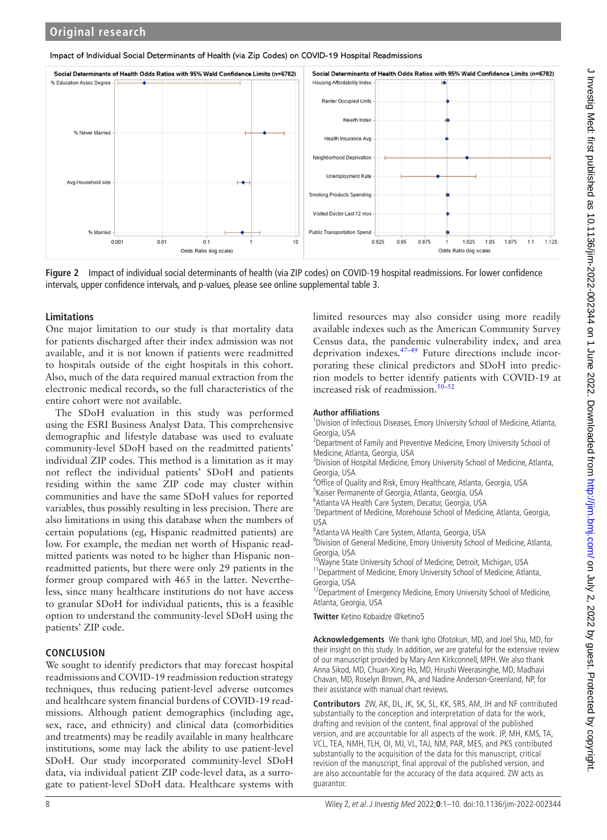#### Impact of Individual Social Determinants of Health (via Zip Codes) on COVID-19 Hospital Readmissions



<span id="page-7-0"></span>**Figure 2** Impact of individual social determinants of health (via ZIP codes) on COVID-19 hospital readmissions. For lower confidence intervals, upper confidence intervals, and p-values, please see [online supplemental table 3](https://dx.doi.org/10.1136/jim-2022-002344).

#### **Limitations**

One major limitation to our study is that mortality data for patients discharged after their index admission was not available, and it is not known if patients were readmitted to hospitals outside of the eight hospitals in this cohort. Also, much of the data required manual extraction from the electronic medical records, so the full characteristics of the entire cohort were not available.

The SDoH evaluation in this study was performed using the ESRI Business Analyst Data. This comprehensive demographic and lifestyle database was used to evaluate community-level SDoH based on the readmitted patients' individual ZIP codes. This method is a limitation as it may not reflect the individual patients' SDoH and patients residing within the same ZIP code may cluster within communities and have the same SDoH values for reported variables, thus possibly resulting in less precision. There are also limitations in using this database when the numbers of certain populations (eg, Hispanic readmitted patients) are low. For example, the median net worth of Hispanic readmitted patients was noted to be higher than Hispanic nonreadmitted patients, but there were only 29 patients in the former group compared with 465 in the latter. Nevertheless, since many healthcare institutions do not have access to granular SDoH for individual patients, this is a feasible option to understand the community-level SDoH using the patients' ZIP code.

## **CONCLUSION**

We sought to identify predictors that may forecast hospital readmissions and COVID-19 readmission reduction strategy techniques, thus reducing patient-level adverse outcomes and healthcare system financial burdens of COVID-19 readmissions. Although patient demographics (including age, sex, race, and ethnicity) and clinical data (comorbidities and treatments) may be readily available in many healthcare institutions, some may lack the ability to use patient-level SDoH. Our study incorporated community-level SDoH data, via individual patient ZIP code-level data, as a surrogate to patient-level SDoH data. Healthcare systems with

limited resources may also consider using more readily available indexes such as the American Community Survey Census data, the pandemic vulnerability index, and area deprivation indexes.[47–49](#page-9-4) Future directions include incorporating these clinical predictors and SDoH into prediction models to better identify patients with COVID-19 at increased risk of readmission.<sup>50–52</sup>

#### **Author affiliations**

<sup>1</sup> Division of Infectious Diseases, Emory University School of Medicine, Atlanta, Georgia, USA

<sup>2</sup> Department of Family and Preventive Medicine, Emory University School of Medicine, Atlanta, Georgia, USA

<sup>3</sup> Division of Hospital Medicine, Emory University School of Medicine, Atlanta, Georgia, USA

<sup>4</sup>Office of Quality and Risk, Emory Healthcare, Atlanta, Georgia, USA

5 Kaiser Permanente of Georgia, Atlanta, Georgia, USA

6 Atlanta VA Health Care System, Decatur, Georgia, USA

<sup>7</sup>Department of Medicine, Morehouse School of Medicine, Atlanta, Georgia, USA

8 Atlanta VA Health Care System, Atlanta, Georgia, USA

9 Division of General Medicine, Emory University School of Medicine, Atlanta, Georgia, USA

<sup>10</sup>Wayne State University School of Medicine, Detroit, Michigan, USA

<sup>11</sup> Department of Medicine, Emory University School of Medicine, Atlanta, Georgia, USA

<sup>12</sup>Department of Emergency Medicine, Emory University School of Medicine, Atlanta, Georgia, USA

**Twitter** Ketino Kobaidze [@ketino5](https://twitter.com/ketino5)

**Acknowledgements** We thank Igho Ofotokun, MD, and Joel Shu, MD, for their insight on this study. In addition, we are grateful for the extensive review of our manuscript provided by Mary Ann Kirkconnell, MPH. We also thank Anna Sikod, MD, Chuan-Xing Ho, MD, Hirushi Weerasinghe, MD, Madhavi Chavan, MD, Roselyn Brown, PA, and Nadine Anderson-Greenland, NP, for their assistance with manual chart reviews.

**Contributors** ZW, AK, DL, JK, SK, SL, KK, SRS, AM, JH and NF contributed substantially to the conception and interpretation of data for the work, drafting and revision of the content, final approval of the published version, and are accountable for all aspects of the work. JP, MH, KMS, TA, VCL, TEA, NMH, TLH, OI, MJ, VL, TAJ, NM, PAR, MES, and PKS contributed substantially to the acquisition of the data for this manuscript, critical revision of the manuscript, final approval of the published version, and are also accountable for the accuracy of the data acquired. ZW acts as guarantor.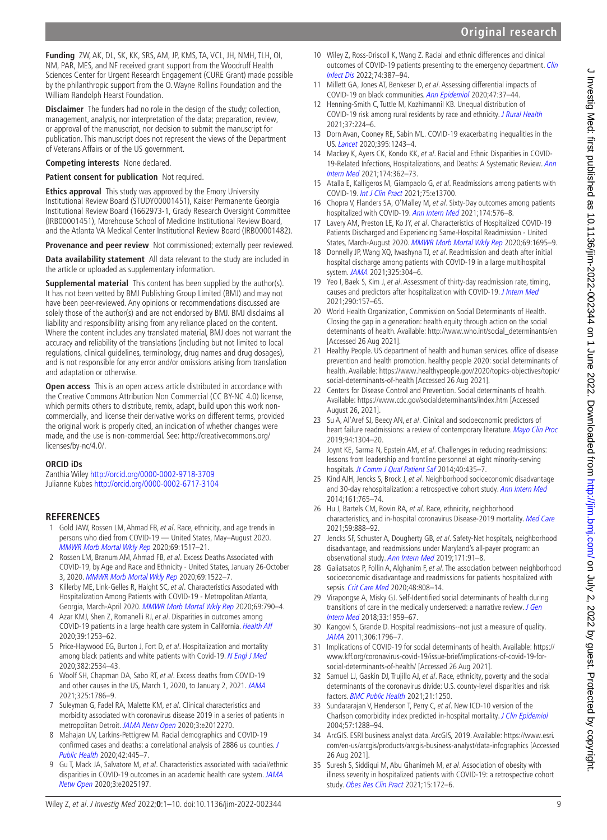**Funding** ZW, AK, DL, SK, KK, SRS, AM, JP, KMS, TA, VCL, JH, NMH, TLH, OI, NM, PAR, MES, and NF received grant support from the Woodruff Health Sciences Center for Urgent Research Engagement (CURE Grant) made possible by the philanthropic support from the O. Wayne Rollins Foundation and the William Randolph Hearst Foundation.

**Disclaimer** The funders had no role in the design of the study; collection, management, analysis, nor interpretation of the data; preparation, review, or approval of the manuscript, nor decision to submit the manuscript for publication. This manuscript does not represent the views of the Department of Veterans Affairs or of the US government.

#### **Competing interests** None declared.

#### **Patient consent for publication** Not required.

**Ethics approval** This study was approved by the Emory University Institutional Review Board (STUDY00001451), Kaiser Permanente Georgia Institutional Review Board (1662973-1, Grady Research Oversight Committee (IRB00001451), Morehouse School of Medicine Institutional Review Board, and the Atlanta VA Medical Center Institutional Review Board (IRB00001482).

**Provenance and peer review** Not commissioned; externally peer reviewed.

**Data availability statement** All data relevant to the study are included in the article or uploaded as supplementary information.

**Supplemental material** This content has been supplied by the author(s). It has not been vetted by BMJ Publishing Group Limited (BMJ) and may not have been peer-reviewed. Any opinions or recommendations discussed are solely those of the author(s) and are not endorsed by BMJ. BMJ disclaims all liability and responsibility arising from any reliance placed on the content. Where the content includes any translated material, BMJ does not warrant the accuracy and reliability of the translations (including but not limited to local regulations, clinical guidelines, terminology, drug names and drug dosages), and is not responsible for any error and/or omissions arising from translation and adaptation or otherwise.

**Open access** This is an open access article distributed in accordance with the Creative Commons Attribution Non Commercial (CC BY-NC 4.0) license, which permits others to distribute, remix, adapt, build upon this work noncommercially, and license their derivative works on different terms, provided the original work is properly cited, an indication of whether changes were made, and the use is non-commercial. See: [http://creativecommons.org/](http://creativecommons.org/licenses/by-nc/4.0/) [licenses/by-nc/4.0/.](http://creativecommons.org/licenses/by-nc/4.0/)

#### **ORCID iDs**

Zanthia Wiley<http://orcid.org/0000-0002-9718-3709> Julianne Kubes <http://orcid.org/0000-0002-6717-3104>

## **REFERENCES**

- <span id="page-8-0"></span>1 Gold JAW, Rossen LM, Ahmad FB, et al. Race, ethnicity, and age trends in persons who died from COVID-19 — United States, May–August 2020. [MMWR Morb Mortal Wkly Rep](http://dx.doi.org/10.15585/mmwr.mm6942e1) 2020;69:1517–21.
- 2 Rossen LM, Branum AM, Ahmad FB, et al. Excess Deaths Associated with COVID-19, by Age and Race and Ethnicity - United States, January 26-October 3, 2020. [MMWR Morb Mortal Wkly Rep](http://dx.doi.org/10.15585/mmwr.mm6942e2) 2020;69:1522-7.
- 3 Killerby ME, Link-Gelles R, Haight SC, et al. Characteristics Associated with Hospitalization Among Patients with COVID-19 - Metropolitan Atlanta, Georgia, March-April 2020. [MMWR Morb Mortal Wkly Rep](http://dx.doi.org/10.15585/mmwr.mm6925e1) 2020;69:790–4.
- 4 Azar KMJ, Shen Z, Romanelli RJ, et al. Disparities in outcomes among COVID-19 patients in a large health care system in California. [Health Aff](http://dx.doi.org/10.1377/hlthaff.2020.00598) 2020;39:1253–62.
- 5 Price-Haywood EG, Burton J, Fort D, et al. Hospitalization and mortality among black patients and white patients with Covid-19. [N Engl J Med](http://dx.doi.org/10.1056/NEJMsa2011686) 2020;382:2534–43.
- 6 Woolf SH, Chapman DA, Sabo RT, et al. Excess deaths from COVID-19 and other causes in the US, March 1, 2020, to January 2, 2021. [JAMA](http://dx.doi.org/10.1001/jama.2021.5199) 2021;325:1786–9.
- 7 Suleyman G, Fadel RA, Malette KM, et al. Clinical characteristics and morbidity associated with coronavirus disease 2019 in a series of patients in metropolitan Detroit. [JAMA Netw Open](http://dx.doi.org/10.1001/jamanetworkopen.2020.12270) 2020;3:e2012270.
- 8 Mahajan UV, Larkins-Pettigrew M. Racial demographics and COVID-19 confirmed cases and deaths: a correlational analysis of 2886 us counties. [J](http://dx.doi.org/10.1093/pubmed/fdaa070)  [Public Health](http://dx.doi.org/10.1093/pubmed/fdaa070) 2020;42:445–7.
- 9 Gu T, Mack JA, Salvatore M, et al. Characteristics associated with racial/ethnic disparities in COVID-19 outcomes in an academic health care system. JAMA [Netw Open](http://dx.doi.org/10.1001/jamanetworkopen.2020.25197) 2020;3:e2025197.
- outcomes of COVID-19 patients presenting to the emergency department. Clin [Infect Dis](http://dx.doi.org/10.1093/cid/ciab290) 2022;74:387-94.
- 11 Millett GA, Jones AT, Benkeser D, et al. Assessing differential impacts of COVID-19 on black communities. [Ann Epidemiol](http://dx.doi.org/10.1016/j.annepidem.2020.05.003) 2020;47:37-44.
- 12 Henning-Smith C, Tuttle M, Kozhimannil KB. Unequal distribution of COVID-19 risk among rural residents by race and ethnicity. [J Rural Health](http://dx.doi.org/10.1111/jrh.12463) 2021;37:224–6.
- 13 Dorn Avan, Cooney RE, Sabin ML. COVID-19 exacerbating inequalities in the US. [Lancet](http://dx.doi.org/10.1016/S0140-6736(20)30893-X) 2020;395:1243–4.
- 14 Mackey K, Ayers CK, Kondo KK, et al. Racial and Ethnic Disparities in COVID-19-Related Infections, Hospitalizations, and Deaths: A Systematic Review. Ann [Intern Med](http://dx.doi.org/10.7326/M20-6306) 2021;174:362–73.
- <span id="page-8-1"></span>15 Atalla E, Kalligeros M, Giampaolo G, et al. Readmissions among patients with COVID-19. [Int J Clin Pract](http://dx.doi.org/10.1111/ijcp.13700) 2021;75:e13700.
- 16 Chopra V, Flanders SA, O'Malley M, et al. Sixty-Day outcomes among patients hospitalized with COVID-19. [Ann Intern Med](http://dx.doi.org/10.7326/M20-5661) 2021;174:576–8.
- <span id="page-8-3"></span>17 Lavery AM, Preston LE, Ko JY, et al. Characteristics of Hospitalized COVID-19 Patients Discharged and Experiencing Same-Hospital Readmission - United States, March-August 2020. [MMWR Morb Mortal Wkly Rep](http://dx.doi.org/10.15585/mmwr.mm6945e2) 2020;69:1695-9.
- <span id="page-8-4"></span>18 Donnelly JP, Wang XQ, Iwashyna TJ, et al. Readmission and death after initial hospital discharge among patients with COVID-19 in a large multihospital system. [JAMA](http://dx.doi.org/10.1001/jama.2020.21465) 2021;325:304–6.
- <span id="page-8-2"></span>19 Yeo I, Baek S, Kim J, et al. Assessment of thirty-day readmission rate, timing, causes and predictors after hospitalization with COVID-19. [J Intern Med](http://dx.doi.org/10.1111/joim.13241) 2021;290:157–65.
- <span id="page-8-5"></span>20 World Health Organization, Commission on Social Determinants of Health. Closing the gap in a generation: health equity through action on the social determinants of health. Available: [http://www.who.int/social\\_determinants/en](http://www.who.int/social_determinants/en)  [Accessed 26 Aug 2021].
- 21 Healthy People. US department of health and human services. office of disease prevention and health promotion. healthy people 2020: social determinants of health. Available: [https://www.healthypeople.gov/2020/topics-objectives/topic/](https://www.healthypeople.gov/2020/topics-objectives/topic/social-determinants-of-health) [social-determinants-of-health](https://www.healthypeople.gov/2020/topics-objectives/topic/social-determinants-of-health) [Accessed 26 Aug 2021].
- 22 Centers for Disease Control and Prevention. Social determinants of health. Available:<https://www.cdc.gov/socialdeterminants/index.htm>[Accessed August 26, 2021].
- <span id="page-8-6"></span>23 Su A, Al'Aref SJ, Beecy AN, et al. Clinical and socioeconomic predictors of heart failure readmissions: a review of contemporary literature. [Mayo Clin Proc](http://dx.doi.org/10.1016/j.mayocp.2019.01.017) 2019;94:1304–20.
- 24 Joynt KE, Sarma N, Epstein AM, et al. Challenges in reducing readmissions: lessons from leadership and frontline personnel at eight minority-serving hospitals. [Jt Comm J Qual Patient Saf](http://dx.doi.org/10.1016/S1553-7250(14)40056-4) 2014;40:435-7.
- 25 Kind AJH, Jencks S, Brock J, et al. Neighborhood socioeconomic disadvantage and 30-day rehospitalization: a retrospective cohort study. [Ann Intern Med](http://dx.doi.org/10.7326/M13-2946) 2014;161:765–74.
- 26 Hu J, Bartels CM, Rovin RA, et al. Race, ethnicity, neighborhood characteristics, and in-hospital coronavirus Disease-2019 mortality. [Med Care](http://dx.doi.org/10.1097/MLR.0000000000001624) 2021;59:888–92.
- 27 Jencks SF, Schuster A, Dougherty GB, et al. Safety-Net hospitals, neighborhood disadvantage, and readmissions under Maryland's all-payer program: an observational study. [Ann Intern Med](http://dx.doi.org/10.7326/M16-2671) 2019;171:91–8.
- 28 Galiatsatos P, Follin A, Alghanim F, et al. The association between neighborhood socioeconomic disadvantage and readmissions for patients hospitalized with sepsis. [Crit Care Med](http://dx.doi.org/10.1097/CCM.0000000000004307) 2020;48:808-14.
- <span id="page-8-7"></span>29 Virapongse A, Misky GJ. Self-Identified social determinants of health during transitions of care in the medically underserved: a narrative review. J Gen [Intern Med](http://dx.doi.org/10.1007/s11606-018-4615-3) 2018;33:1959–67.
- <span id="page-8-8"></span>30 Kangovi S, Grande D. Hospital readmissions--not just a measure of quality. [JAMA](http://dx.doi.org/10.1001/jama.2011.1562) 2011;306:1796–7.
- <span id="page-8-9"></span>31 Implications of COVID-19 for social determinants of health. Available: [https://](https://www.kff.org/coronavirus-covid-19/issue-brief/implications-of-covid-19-for-social-determinants-of-health/) [www.kff.org/coronavirus-covid-19/issue-brief/implications-of-covid-19-for](https://www.kff.org/coronavirus-covid-19/issue-brief/implications-of-covid-19-for-social-determinants-of-health/)[social-determinants-of-health/](https://www.kff.org/coronavirus-covid-19/issue-brief/implications-of-covid-19-for-social-determinants-of-health/) [Accessed 26 Aug 2021].
- 32 Samuel LJ, Gaskin DJ, Trujillo AJ, et al. Race, ethnicity, poverty and the social determinants of the coronavirus divide: U.S. county-level disparities and risk factors. [BMC Public Health](http://dx.doi.org/10.1186/s12889-021-11205-w) 2021;21:1250.
- <span id="page-8-10"></span>33 Sundararajan V, Henderson T, Perry C, et al. New ICD-10 version of the Charlson comorbidity index predicted in-hospital mortality. [J Clin Epidemiol](http://dx.doi.org/10.1016/j.jclinepi.2004.03.012) 2004;57:1288–94.
- <span id="page-8-11"></span>34 ArcGIS. ESRI business analyst data. ArcGIS, 2019. Available: [https://www.esri.](https://www.esri.com/en-us/arcgis/products/arcgis-business-analyst/data-infographics) [com/en-us/arcgis/products/arcgis-business-analyst/data-infographics](https://www.esri.com/en-us/arcgis/products/arcgis-business-analyst/data-infographics) [Accessed 26 Aug 2021].
- <span id="page-8-12"></span>35 Suresh S, Siddiqui M, Abu Ghanimeh M, et al. Association of obesity with illness severity in hospitalized patients with COVID-19: a retrospective cohort study. [Obes Res Clin Pract](http://dx.doi.org/10.1016/j.orcp.2021.02.006) 2021;15:172-6.